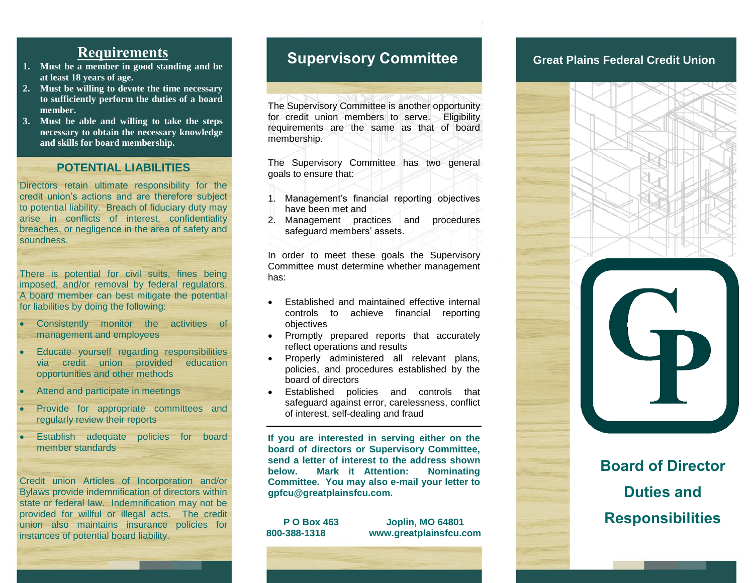## **Requirements**

- **1. Must be a member in good standing and be at least 18 years of age.**
- **2. Must be willing to devote the time necessary to sufficiently perform the duties of a board member.**
- **3. Must be able and willing to take the steps necessary to obtain the necessary knowledge and skills for board membership.**

### **POTENTIAL LIABILITIES**

Directors retain ultimate responsibility for the credit union's actions and are therefore subject to potential liability. Breach of fiduciary duty may arise in conflicts of interest, confidentiality breaches, or negligence in the area of safety and soundness.

There is potential for civil suits, fines being imposed, and/or removal by federal regulators. A board member can best mitigate the potential for liabilities by doing the following:

- Consistently monitor the activities of management and employees
- Educate yourself regarding responsibilities via credit union provided education opportunities and other methods
- Attend and participate in meetings
- Provide for appropriate committees and regularly review their reports
- Establish adequate policies for board member standards

Credit union Articles of Incorporation and/or Bylaws provide indemnification of directors within state or federal law. Indemnification may not be provided for willful or illegal acts. The credit union also maintains insurance policies for instances of potential board liability.

## **Supervisory Committee Creat Plains Federal Credit Union**

The Supervisory Committee is another opportunity for credit union members to serve. Eligibility requirements are the same as that of board membership.

The Supervisory Committee has two general goals to ensure that:

- 1. Management's financial reporting objectives have been met and
- 2. Management practices and procedures safeguard members' assets.

In order to meet these goals the Supervisory Committee must determine whether management has:

- Established and maintained effective internal controls to achieve financial reporting objectives
- Promptly prepared reports that accurately reflect operations and results
- Properly administered all relevant plans, policies, and procedures established by the board of directors
- Established policies and controls that safeguard against error, carelessness, conflict of interest, self-dealing and fraud

**If you are interested in serving either on the board of directors or Supervisory Committee, send a letter of interest to the address shown below. Mark it Attention: Nominating Committee. You may also e-mail your letter to gpfcu@greatplainsfcu.com.**

**P O Box 463 Joplin, MO 64801 800-388-1318 www.greatplainsfcu.com**